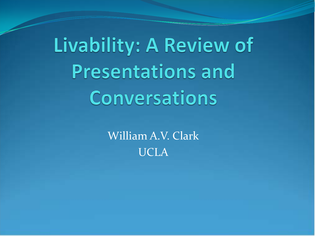Livability: A Review of **Presentations and** Conversations

> William A.V. Clark UCLA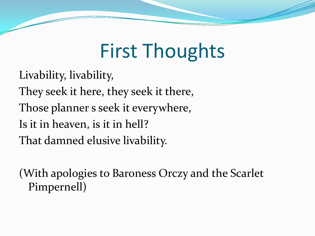### First Thoughts

Livability, livability, They seek it here, they seek it there, Those planner s seek it everywhere, Is it in heaven, is it in hell? That damned elusive livability.

(With apologies to Baroness Orczy and the Scarlet Pimpernell)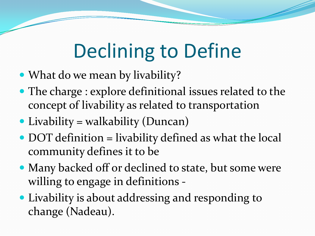# Declining to Define

- What do we mean by livability?
- The charge : explore definitional issues related to the concept of livability as related to transportation
- Livability = walkability (Duncan)
- DOT definition = livability defined as what the local community defines it to be
- Many backed off or declined to state, but some were willing to engage in definitions -
- Livability is about addressing and responding to change (Nadeau).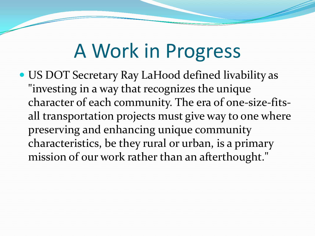#### A Work in Progress

 US DOT Secretary Ray LaHood defined livability as "investing in a way that recognizes the unique character of each community. The era of one-size-fitsall transportation projects must give way to one where preserving and enhancing unique community characteristics, be they rural or urban, is a primary mission of our work rather than an afterthought."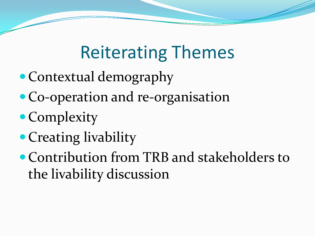#### Reiterating Themes

- Contextual demography
- Co-operation and re-organisation
- Complexity
- Creating livability
- Contribution from TRB and stakeholders to the livability discussion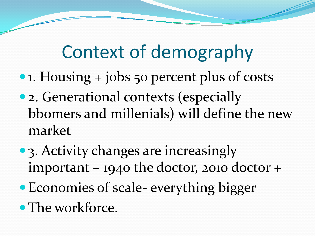#### Context of demography

- 1. Housing + jobs 50 percent plus of costs
- 2. Generational contexts (especially bbomers and millenials) will define the new market
- 3. Activity changes are increasingly important – 1940 the doctor, 2010 doctor +
- Economies of scale- everything bigger
- The workforce.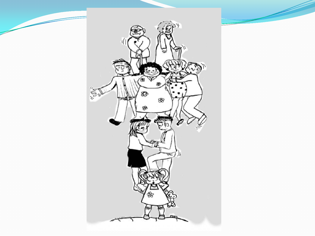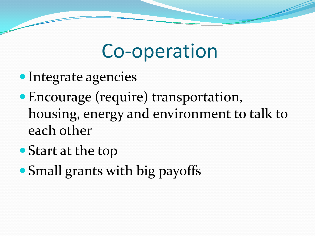#### Co-operation

- Integrate agencies
- Encourage (require) transportation, housing, energy and environment to talk to each other
- Start at the top
- Small grants with big payoffs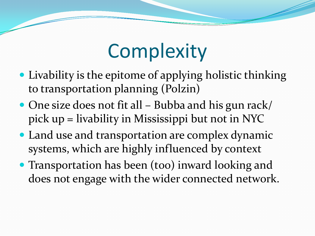### **Complexity**

- Livability is the epitome of applying holistic thinking to transportation planning (Polzin)
- One size does not fit all Bubba and his gun rack/ pick up = livability in Mississippi but not in NYC
- Land use and transportation are complex dynamic systems, which are highly influenced by context
- Transportation has been (too) inward looking and does not engage with the wider connected network.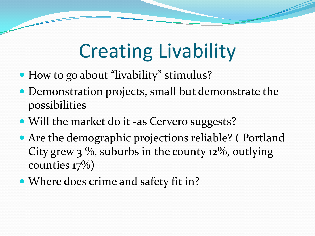# Creating Livability

- How to go about "livability" stimulus?
- Demonstration projects, small but demonstrate the possibilities
- Will the market do it -as Cervero suggests?
- Are the demographic projections reliable? ( Portland City grew  $3\%$ , suburbs in the county 12%, outlying counties 17%)
- Where does crime and safety fit in?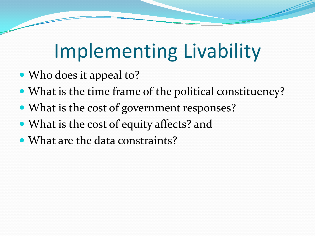### Implementing Livability

- Who does it appeal to?
- What is the time frame of the political constituency?
- What is the cost of government responses?
- What is the cost of equity affects? and
- What are the data constraints?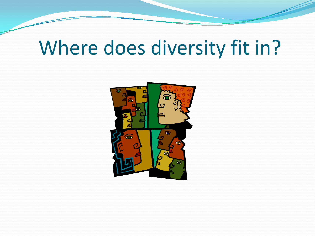#### Where does diversity fit in?

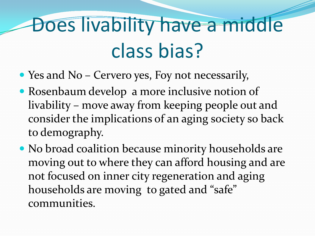# Does livability have a middle class bias?

- Yes and No Cervero yes, Foy not necessarily,
- Rosenbaum develop a more inclusive notion of livability – move away from keeping people out and consider the implications of an aging society so back to demography.
- No broad coalition because minority households are moving out to where they can afford housing and are not focused on inner city regeneration and aging households are moving to gated and "safe" communities.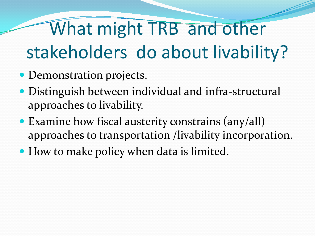### What might TRB and other stakeholders do about livability?

- Demonstration projects.
- Distinguish between individual and infra-structural approaches to livability.
- Examine how fiscal austerity constrains (any/all) approaches to transportation /livability incorporation.
- How to make policy when data is limited.